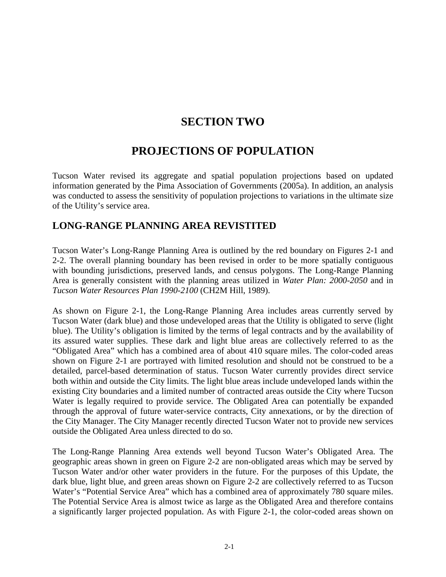## **SECTION TWO**

# **PROJECTIONS OF POPULATION**

Tucson Water revised its aggregate and spatial population projections based on updated information generated by the Pima Association of Governments (2005a). In addition, an analysis was conducted to assess the sensitivity of population projections to variations in the ultimate size of the Utility's service area.

#### **LONG-RANGE PLANNING AREA REVISTITED**

Tucson Water's Long-Range Planning Area is outlined by the red boundary on Figures 2-1 and 2-2. The overall planning boundary has been revised in order to be more spatially contiguous with bounding jurisdictions, preserved lands, and census polygons. The Long-Range Planning Area is generally consistent with the planning areas utilized in *Water Plan: 2000-2050* and in *Tucson Water Resources Plan 1990-2100* (CH2M Hill, 1989).

As shown on Figure 2-1, the Long-Range Planning Area includes areas currently served by Tucson Water (dark blue) and those undeveloped areas that the Utility is obligated to serve (light blue). The Utility's obligation is limited by the terms of legal contracts and by the availability of its assured water supplies. These dark and light blue areas are collectively referred to as the "Obligated Area" which has a combined area of about 410 square miles. The color-coded areas shown on Figure 2-1 are portrayed with limited resolution and should not be construed to be a detailed, parcel-based determination of status. Tucson Water currently provides direct service both within and outside the City limits. The light blue areas include undeveloped lands within the existing City boundaries and a limited number of contracted areas outside the City where Tucson Water is legally required to provide service. The Obligated Area can potentially be expanded through the approval of future water-service contracts, City annexations, or by the direction of the City Manager. The City Manager recently directed Tucson Water not to provide new services outside the Obligated Area unless directed to do so.

The Long-Range Planning Area extends well beyond Tucson Water's Obligated Area. The geographic areas shown in green on Figure 2-2 are non-obligated areas which may be served by Tucson Water and/or other water providers in the future. For the purposes of this Update, the dark blue, light blue, and green areas shown on Figure 2-2 are collectively referred to as Tucson Water's "Potential Service Area" which has a combined area of approximately 780 square miles. The Potential Service Area is almost twice as large as the Obligated Area and therefore contains a significantly larger projected population. As with Figure 2-1, the color-coded areas shown on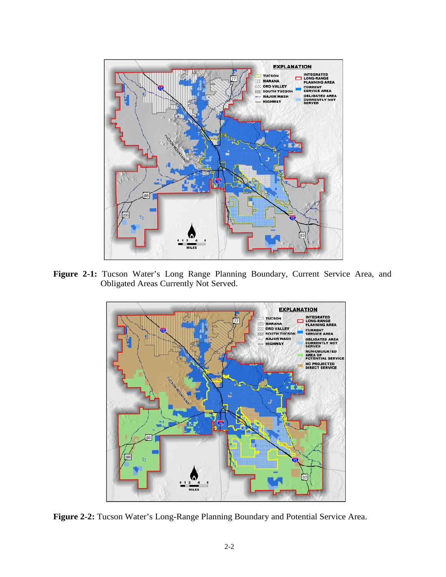

**Figure 2-1:** Tucson Water's Long Range Planning Boundary, Current Service Area, and Obligated Areas Currently Not Served.



**Figure 2-2:** Tucson Water's Long-Range Planning Boundary and Potential Service Area.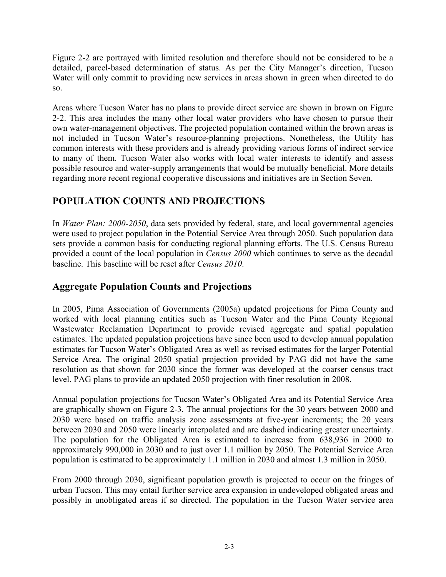Figure 2-2 are portrayed with limited resolution and therefore should not be considered to be a detailed, parcel-based determination of status. As per the City Manager's direction, Tucson Water will only commit to providing new services in areas shown in green when directed to do so.

Areas where Tucson Water has no plans to provide direct service are shown in brown on Figure 2-2. This area includes the many other local water providers who have chosen to pursue their own water-management objectives. The projected population contained within the brown areas is not included in Tucson Water's resource-planning projections. Nonetheless, the Utility has common interests with these providers and is already providing various forms of indirect service to many of them. Tucson Water also works with local water interests to identify and assess possible resource and water-supply arrangements that would be mutually beneficial. More details regarding more recent regional cooperative discussions and initiatives are in Section Seven.

### **POPULATION COUNTS AND PROJECTIONS**

In *Water Plan: 2000-2050*, data sets provided by federal, state, and local governmental agencies were used to project population in the Potential Service Area through 2050. Such population data sets provide a common basis for conducting regional planning efforts. The U.S. Census Bureau provided a count of the local population in *Census 2000* which continues to serve as the decadal baseline. This baseline will be reset after *Census 2010*.

### **Aggregate Population Counts and Projections**

In 2005, Pima Association of Governments (2005a) updated projections for Pima County and worked with local planning entities such as Tucson Water and the Pima County Regional Wastewater Reclamation Department to provide revised aggregate and spatial population estimates. The updated population projections have since been used to develop annual population estimates for Tucson Water's Obligated Area as well as revised estimates for the larger Potential Service Area. The original 2050 spatial projection provided by PAG did not have the same resolution as that shown for 2030 since the former was developed at the coarser census tract level. PAG plans to provide an updated 2050 projection with finer resolution in 2008.

Annual population projections for Tucson Water's Obligated Area and its Potential Service Area are graphically shown on Figure 2-3. The annual projections for the 30 years between 2000 and 2030 were based on traffic analysis zone assessments at five-year increments; the 20 years between 2030 and 2050 were linearly interpolated and are dashed indicating greater uncertainty. The population for the Obligated Area is estimated to increase from 638,936 in 2000 to approximately 990,000 in 2030 and to just over 1.1 million by 2050. The Potential Service Area population is estimated to be approximately 1.1 million in 2030 and almost 1.3 million in 2050.

From 2000 through 2030, significant population growth is projected to occur on the fringes of urban Tucson. This may entail further service area expansion in undeveloped obligated areas and possibly in unobligated areas if so directed. The population in the Tucson Water service area